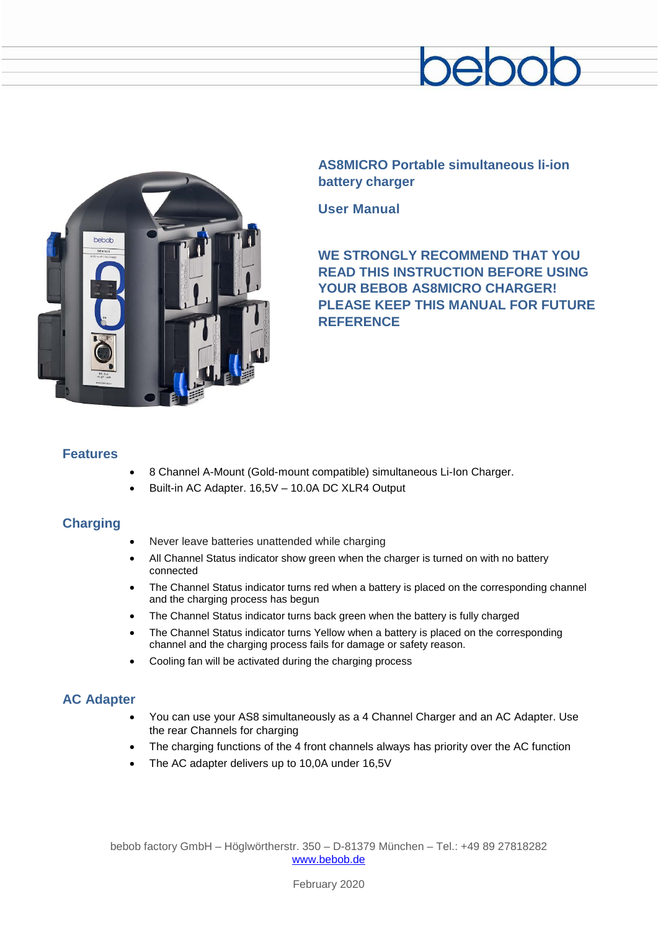



**AS8MICRO Portable simultaneous li-ion battery charger**

**User Manual**

**WE STRONGLY RECOMMEND THAT YOU READ THIS INSTRUCTION BEFORE USING YOUR BEBOB AS8MICRO CHARGER! PLEASE KEEP THIS MANUAL FOR FUTURE REFERENCE**

### **Features**

- 8 Channel A-Mount (Gold-mount compatible) simultaneous Li-Ion Charger.
- Built-in AC Adapter. 16,5V 10.0A DC XLR4 Output

#### **Charging**

- Never leave batteries unattended while charging
- All Channel Status indicator show green when the charger is turned on with no battery connected
- The Channel Status indicator turns red when a battery is placed on the corresponding channel and the charging process has begun
- The Channel Status indicator turns back green when the battery is fully charged
- The Channel Status indicator turns Yellow when a battery is placed on the corresponding channel and the charging process fails for damage or safety reason.
- Cooling fan will be activated during the charging process

## **AC Adapter**

- You can use your AS8 simultaneously as a 4 Channel Charger and an AC Adapter. Use the rear Channels for charging
- The charging functions of the 4 front channels always has priority over the AC function
- The AC adapter delivers up to 10,0A under 16,5V

bebob factory GmbH – Höglwörtherstr. 350 – D-81379 München – Tel.: +49 89 27818282 [www.bebob.de](http://www.bebob.de/)

February 2020